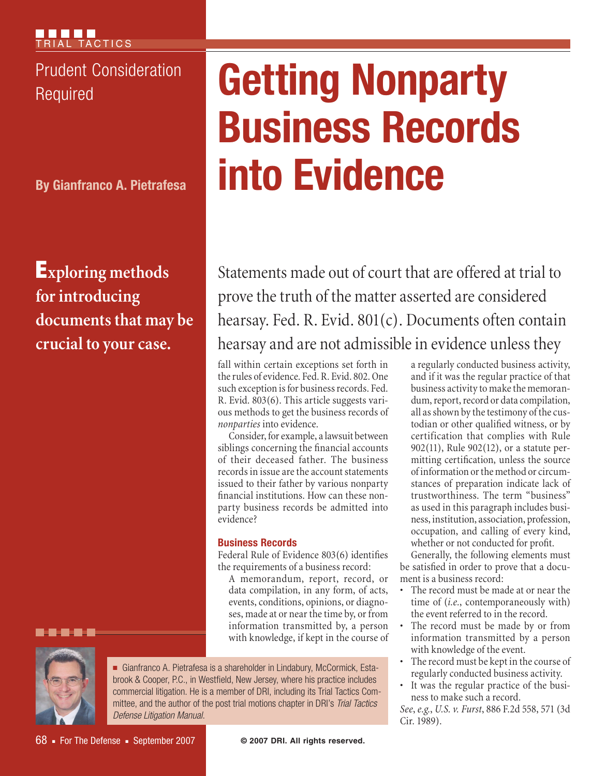Prudent Consideration

**By Gianfranco A. Pietrafesa**

Exploring methods for introducing documents that may be crucial to your case.

# **Prudent Consideration | Getting Nonparty Business Records into Evidence**

Statements made out of court that are offered at trial to prove the truth of the matter asserted are considered hearsay. Fed. R. Evid. 801(c). Documents often contain hearsay and are not admissible in evidence unless they

fall within certain exceptions set forth in the rules of evidence. Fed. R. Evid. 802. One such exception is for business records. Fed. R. Evid. 803(6). This article suggests various methods to get the business records of *nonparties* into evidence.

Consider, for example, a lawsuit between siblings concerning the financial accounts of their deceased father. The business records in issue are the account statements issued to their father by various nonparty financial institutions. How can these nonparty business records be admitted into evidence?

# **Business Records**

Federal Rule of Evidence 803(6) identifies the requirements of a business record:

A memorandum, report, record, or data compilation, in any form, of acts, events, conditions, opinions, or diagnoses, made at or near the time by, or from information transmitted by, a person with knowledge, if kept in the course of



----

<sup>n</sup> Gianfranco A. Pietrafesa is a shareholder in Lindabury, McCormick, Estabrook & Cooper, P.C., in Westfield, New Jersey, where his practice includes commercial litigation. He is a member of DRI, including its Trial Tactics Committee, and the author of the post trial motions chapter in DRI's *Trial Tactics Defense Litigation Manual*.

a regularly conducted business activity, and if it was the regular practice of that business activity to make the memorandum, report, record or data compilation, all as shown by the testimony of the custodian or other qualified witness, or by certification that complies with Rule 902(11), Rule 902(12), or a statute permitting certification, unless the source of information or the method or circumstances of preparation indicate lack of trustworthiness. The term "business" as used in this paragraph includes business, institution, association, profession, occupation, and calling of every kind, whether or not conducted for profit.

Generally, the following elements must be satisfied in order to prove that a document is a business record:

- The record must be made at or near the time of (*i.e.*, contemporaneously with) the event referred to in the record.
- The record must be made by or from information transmitted by a person with knowledge of the event.
- The record must be kept in the course of regularly conducted business activity.
- It was the regular practice of the business to make such a record.

*See*, *e.g.*, *U.S. v. Furst*, 886 F.2d 558, 571 (3d Cir. 1989).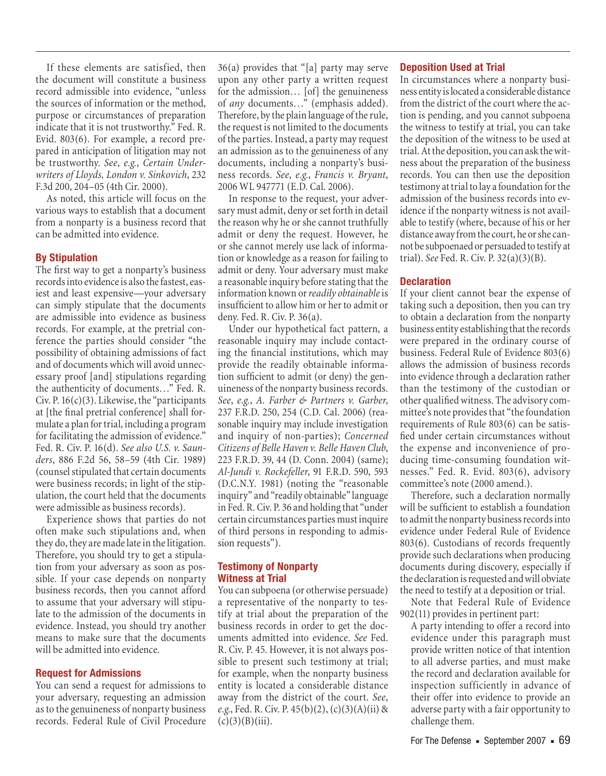If these elements are satisfied, then the document will constitute a business record admissible into evidence, "unless the sources of information or the method, purpose or circumstances of preparation indicate that it is not trustworthy." Fed. R. Evid. 803(6). For example, a record prepared in anticipation of litigation may not be trustworthy. *See*, *e.g.*, *Certain Underwriters of Lloyds, London v. Sinkovich*, 232 F.3d 200, 204–05 (4th Cir. 2000).

As noted, this article will focus on the various ways to establish that a document from a nonparty is a business record that can be admitted into evidence.

#### **By Stipulation**

The first way to get a nonparty's business records into evidence is also the fastest, easiest and least expensive—your adversary can simply stipulate that the documents are admissible into evidence as business records. For example, at the pretrial conference the parties should consider "the possibility of obtaining admissions of fact and of documents which will avoid unnecessary proof [and] stipulations regarding the authenticity of documents…" Fed. R. Civ. P.  $16(c)(3)$ . Likewise, the "participants" at [the final pretrial conference] shall formulate a plan for trial, including a program for facilitating the admission of evidence." Fed. R. Civ. P. 16(d). *See also U.S. v. Saunders*, 886 F.2d 56, 58–59 (4th Cir. 1989) (counsel stipulated that certain documents were business records; in light of the stipulation, the court held that the documents were admissible as business records).

Experience shows that parties do not often make such stipulations and, when they do, they are made late in the litigation. Therefore, you should try to get a stipulation from your adversary as soon as possible. If your case depends on nonparty business records, then you cannot afford to assume that your adversary will stipulate to the admission of the documents in evidence. Instead, you should try another means to make sure that the documents will be admitted into evidence.

#### **Request for Admissions**

You can send a request for admissions to your adversary, requesting an admission as to the genuineness of nonparty business records. Federal Rule of Civil Procedure

36(a) provides that "[a] party may serve upon any other party a written request for the admission… [of] the genuineness of *any* documents…" (emphasis added). Therefore, by the plain language of the rule, the request is not limited to the documents of the parties. Instead, a party may request an admission as to the genuineness of any documents, including a nonparty's business records. *See*, *e.g.*, *Francis v. Bryant*, 2006 WL 947771 (E.D. Cal. 2006).

In response to the request, your adversary must admit, deny or set forth in detail the reason why he or she cannot truthfully admit or deny the request. However, he or she cannot merely use lack of information or knowledge as a reason for failing to admit or deny. Your adversary must make a reasonable inquiry before stating that the information known or *readily obtainable* is insufficient to allow him or her to admit or deny. Fed. R. Civ. P. 36(a).

Under our hypothetical fact pattern, a reasonable inquiry may include contacting the financial institutions, which may provide the readily obtainable information sufficient to admit (or deny) the genuineness of the nonparty business records. *See*, *e.g.*, *A. Farber & Partners v. Garber*, 237 F.R.D. 250, 254 (C.D. Cal. 2006) (reasonable inquiry may include investigation and inquiry of non-parties); *Concerned Citizens of Belle Haven v. Belle Haven Club*, 223 F.R.D. 39, 44 (D. Conn. 2004) (same); *Al-Jundi v. Rockefeller*, 91 F.R.D. 590, 593 (D.C.N.Y. 1981) (noting the "reasonable inquiry" and "readily obtainable" language in Fed. R. Civ. P. 36 and holding that "under certain circumstances parties must inquire of third persons in responding to admission requests").

### **Testimony of Nonparty Witness at Trial**

You can subpoena (or otherwise persuade) a representative of the nonparty to testify at trial about the preparation of the business records in order to get the documents admitted into evidence. *See* Fed. R. Civ. P. 45. However, it is not always possible to present such testimony at trial; for example, when the nonparty business entity is located a considerable distance away from the district of the court. *See*, *e.g.*, Fed. R. Civ. P. 45(b)(2), (c)(3)(A)(ii) &  $(c)(3)(B)(iii)$ .

#### **Deposition Used at Trial**

In circumstances where a nonparty business entity is located a considerable distance from the district of the court where the action is pending, and you cannot subpoena the witness to testify at trial, you can take the deposition of the witness to be used at trial. At the deposition, you can ask the witness about the preparation of the business records. You can then use the deposition testimony at trial to lay a foundation for the admission of the business records into evidence if the nonparty witness is not available to testify (where, because of his or her distance away from the court, he or she cannot be subpoenaed or persuaded to testify at trial). *See* Fed. R. Civ. P. 32(a)(3)(B).

#### **Declaration**

If your client cannot bear the expense of taking such a deposition, then you can try to obtain a declaration from the nonparty business entity establishing that the records were prepared in the ordinary course of business. Federal Rule of Evidence 803(6) allows the admission of business records into evidence through a declaration rather than the testimony of the custodian or other qualified witness. The advisory committee's note provides that "the foundation requirements of Rule 803(6) can be satisfied under certain circumstances without the expense and inconvenience of producing time-consuming foundation witnesses." Fed. R. Evid. 803(6), advisory committee's note (2000 amend.).

Therefore, such a declaration normally will be sufficient to establish a foundation to admit the nonparty business records into evidence under Federal Rule of Evidence 803(6). Custodians of records frequently provide such declarations when producing documents during discovery, especially if the declaration is requested and will obviate the need to testify at a deposition or trial.

Note that Federal Rule of Evidence 902(11) provides in pertinent part:

A party intending to offer a record into evidence under this paragraph must provide written notice of that intention to all adverse parties, and must make the record and declaration available for inspection sufficiently in advance of their offer into evidence to provide an adverse party with a fair opportunity to challenge them.